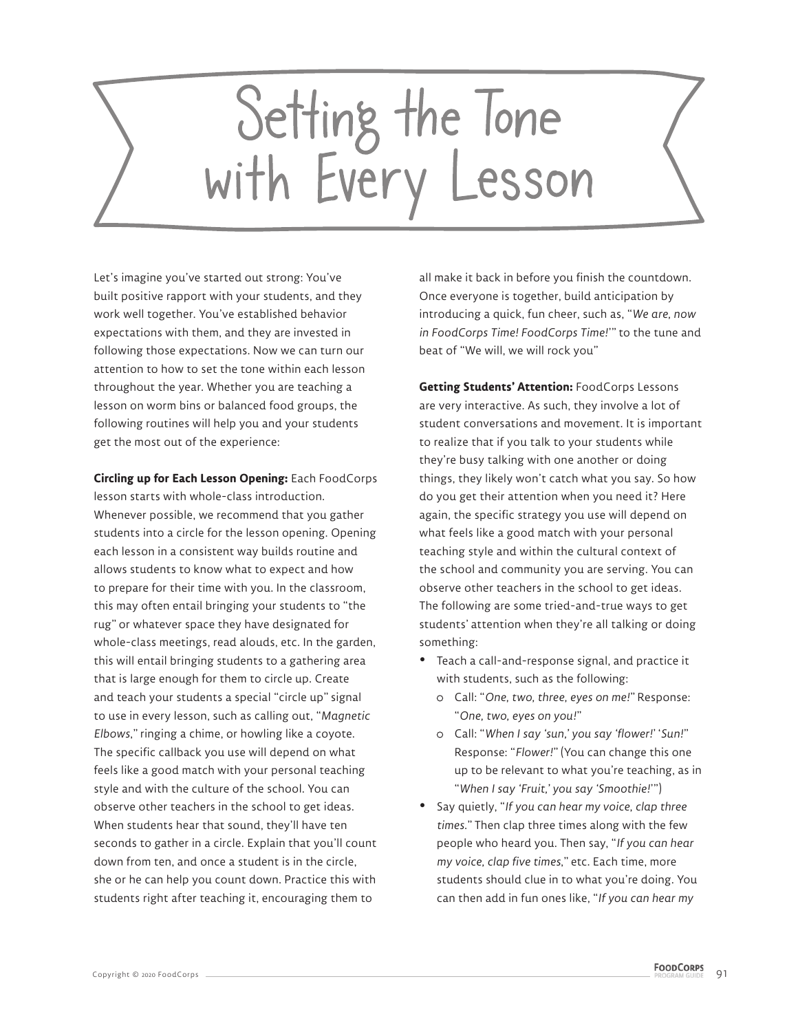## Setting the Tone<br>with Every Lesson

Let's imagine you've started out strong: You've built positive rapport with your students, and they work well together. You've established behavior expectations with them, and they are invested in following those expectations. Now we can turn our attention to how to set the tone within each lesson throughout the year. Whether you are teaching a lesson on worm bins or balanced food groups, the following routines will help you and your students get the most out of the experience:

**Circling up for Each Lesson Opening:** Each FoodCorps lesson starts with whole-class introduction. Whenever possible, we recommend that you gather students into a circle for the lesson opening. Opening each lesson in a consistent way builds routine and allows students to know what to expect and how to prepare for their time with you. In the classroom, this may often entail bringing your students to "the rug" or whatever space they have designated for whole-class meetings, read alouds, etc. In the garden, this will entail bringing students to a gathering area that is large enough for them to circle up. Create and teach your students a special "circle up" signal to use in every lesson, such as calling out, "*Magnetic Elbows*," ringing a chime, or howling like a coyote. The specific callback you use will depend on what feels like a good match with your personal teaching style and with the culture of the school. You can observe other teachers in the school to get ideas. When students hear that sound, they'll have ten seconds to gather in a circle. Explain that you'll count down from ten, and once a student is in the circle, she or he can help you count down. Practice this with students right after teaching it, encouraging them to

all make it back in before you finish the countdown. Once everyone is together, build anticipation by introducing a quick, fun cheer, such as, "*We are, now in FoodCorps Time! FoodCorps Time!*'" to the tune and beat of "We will, we will rock you"

**Getting Students' Attention:** FoodCorps Lessons are very interactive. As such, they involve a lot of student conversations and movement. It is important to realize that if you talk to your students while they're busy talking with one another or doing things, they likely won't catch what you say. So how do you get their attention when you need it? Here again, the specific strategy you use will depend on what feels like a good match with your personal teaching style and within the cultural context of the school and community you are serving. You can observe other teachers in the school to get ideas. The following are some tried-and-true ways to get students' attention when they're all talking or doing something:

- Teach a call-and-response signal, and practice it with students, such as the following:
	- Call: "*One, two, three, eyes on me!*" Response: "*One, two, eyes on you!*"
	- Call: "*When I say 'sun,' you say 'flower!*' '*Sun!*" Response: "*Flower!*" (You can change this one up to be relevant to what you're teaching, as in "*When I say 'Fruit,' you say 'Smoothie!*'")
- % Say quietly, "*If you can hear my voice, clap three times*." Then clap three times along with the few people who heard you. Then say, "*If you can hear my voice, clap five times*," etc. Each time, more students should clue in to what you're doing. You can then add in fun ones like, "*If you can hear my*